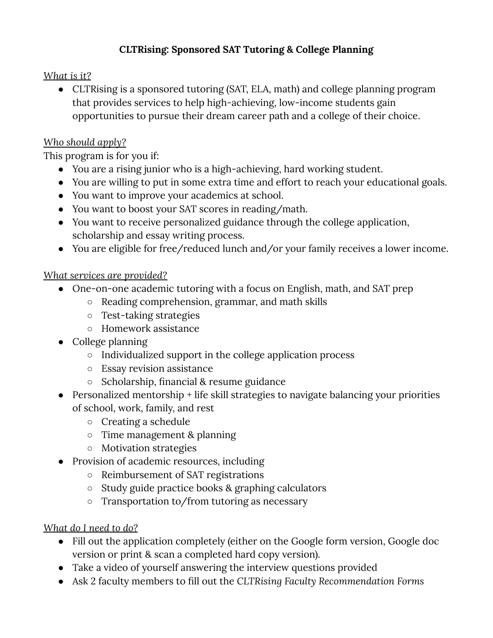# **CLTRising: Sponsored SAT Tutoring & College Planning**

## *What is it?*

● CLTRising is a sponsored tutoring (SAT, ELA, math) and college planning program that provides services to help high-achieving, low-income students gain opportunities to pursue their dream career path and a college of their choice.

### *Who should apply?*

This program is for you if:

- You are a rising junior who is a high-achieving, hard working student.
- You are willing to put in some extra time and effort to reach your educational goals.
- You want to improve your academics at school.
- You want to boost your SAT scores in reading/math.
- You want to receive personalized guidance through the college application, scholarship and essay writing process.
- You are eligible for free/reduced lunch and/or your family receives a lower income.

### *What services are provided?*

- One-on-one academic tutoring with a focus on English, math, and SAT prep
	- Reading comprehension, grammar, and math skills
	- Test-taking strategies
	- Homework assistance
- College planning
	- Individualized support in the college application process
	- Essay revision assistance
	- Scholarship, financial & resume guidance
- Personalized mentorship + life skill strategies to navigate balancing your priorities of school, work, family, and rest
	- Creating a schedule
	- Time management & planning
	- Motivation strategies
- Provision of academic resources, including
	- Reimbursement of SAT registrations
	- Study guide practice books & graphing calculators
	- Transportation to/from tutoring as necessary

### *What do I need to do?*

- Fill out the application completely (either on the Google form version, Google doc version or print & scan a completed hard copy version).
- Take a video of yourself answering the interview questions provided
- Ask 2 faculty members to fill out the *CLTRising Faculty Recommendation Forms*